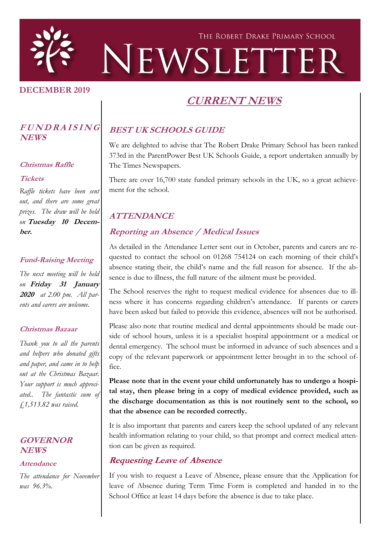

#### **DECEMBER 2019**

# **CURRENT NEWS**

#### **<sup>F</sup> <sup>U</sup> <sup>N</sup> <sup>D</sup> <sup>R</sup> <sup>A</sup> <sup>I</sup> <sup>S</sup> <sup>I</sup> <sup>N</sup> <sup>G</sup> NEWS**

#### **Christmas Raffle**

#### **Tickets**

*Raffle tickets have been sent out, and there are some great prizes. The draw will be held on* **Tuesday 10 December.**

#### **Fund-Raising Meeting**

*The next meeting will be held on* **Friday 31 January 2020** *at 2.00 pm. All parents and carers are welcome.*

#### **Christmas Bazaar**

*Thank you to all the parents and helpers who donated gifts and paper, and came in to help out at the Christmas Bazaar. Your support is much appreciated.. The fantastic sum of £1,513.82 was raised.*

#### **GOVERNOR NEWS**

#### **Attendance**

*The attendance for November was 96.3%.*

## **BEST UK SCHOOLS GUIDE**

We are delighted to advise that The Robert Drake Primary School has been ranked 373rd in the ParentPower Best UK Schools Guide, a report undertaken annually by The Times Newspapers.

There are over 16,700 state funded primary schools in the UK, so a great achievement for the school.

### **ATTENDANCE**

### **Reporting an Absence / Medical Issues**

As detailed in the Attendance Letter sent out in October, parents and carers are requested to contact the school on 01268 754124 on each morning of their child's absence stating their, the child's name and the full reason for absence. If the absence is due to illness, the full nature of the ailment must be provided.

The School reserves the right to request medical evidence for absences due to illness where it has concerns regarding children's attendance. If parents or carers have been asked but failed to provide this evidence, absences will not be authorised.

Please also note that routine medical and dental appointments should be made outside of school hours, unless it is a specialist hospital appointment or a medical or dental emergency. The school must be informed in advance of such absences and a copy of the relevant paperwork or appointment letter brought in to the school office.

**Please note that in the event your child unfortunately has to undergo a hospital stay, then please bring in a copy of medical evidence provided, such as the discharge documentation as this is not routinely sent to the school, so that the absence can be recorded correctly.**

It is also important that parents and carers keep the school updated of any relevant health information relating to your child, so that prompt and correct medical attention can be given as required.

### **Requesting Leave of Absence**

If you wish to request a Leave of Absence, please ensure that the Application for leave of Absence during Term Time Form is completed and handed in to the School Office at least 14 days before the absence is due to take place.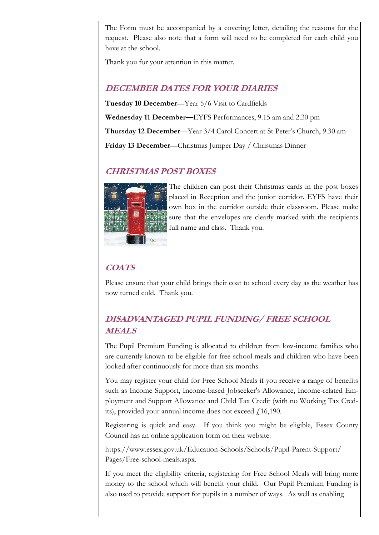The Form must be accompanied by a covering letter, detailing the reasons for the request. Please also note that a form will need to be completed for each child you have at the school.

Thank you for your attention in this matter.

### **DECEMBER DATES FOR YOUR DIARIES**

**Tuesday 10 December**—Year 5/6 Visit to Cardfields **Wednesday 11 December—**EYFS Performances, 9.15 am and 2.30 pm **Thursday 12 December**—Year 3/4 Carol Concert at St Peter's Church, 9.30 am **Friday 13 December**—Christmas Jumper Day / Christmas Dinner

### **CHRISTMAS POST BOXES**



The children can post their Christmas cards in the post boxes placed in Reception and the junior corridor. EYFS have their own box in the corridor outside their classroom. Please make sure that the envelopes are clearly marked with the recipients full name and class. Thank you.

## **COATS**

Please ensure that your child brings their coat to school every day as the weather has now turned cold. Thank you.

## **DISADVANTAGED PUPIL FUNDING/ FREE SCHOOL MEALS**

The Pupil Premium Funding is allocated to children from low-income families who are currently known to be eligible for free school meals and children who have been looked after continuously for more than six months.

You may register your child for Free School Meals if you receive a range of benefits such as Income Support, Income-based Jobseeker's Allowance, Income-related Employment and Support Allowance and Child Tax Credit (with no Working Tax Credits), provided your annual income does not exceed  $f(16,190)$ .

Registering is quick and easy. If you think you might be eligible, Essex County Council has an online application form on their website:

https://www.essex.gov.uk/Education-Schools/Schools/Pupil-Parent-Support/ Pages/Free-school-meals.aspx.

If you meet the eligibility criteria, registering for Free School Meals will bring more money to the school which will benefit your child. Our Pupil Premium Funding is also used to provide support for pupils in a number of ways. As well as enabling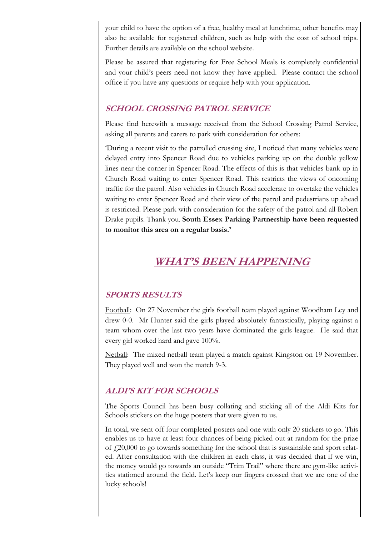your child to have the option of a free, healthy meal at lunchtime, other benefits may also be available for registered children, such as help with the cost of school trips. Further details are available on the school website.

Please be assured that registering for Free School Meals is completely confidential and your child's peers need not know they have applied. Please contact the school office if you have any questions or require help with your application.

### **SCHOOL CROSSING PATROL SERVICE**

Please find herewith a message received from the School Crossing Patrol Service, asking all parents and carers to park with consideration for others:

'During a recent visit to the patrolled crossing site, I noticed that many vehicles were delayed entry into Spencer Road due to vehicles parking up on the double yellow lines near the corner in Spencer Road. The effects of this is that vehicles bank up in Church Road waiting to enter Spencer Road. This restricts the views of oncoming traffic for the patrol. Also vehicles in Church Road accelerate to overtake the vehicles waiting to enter Spencer Road and their view of the patrol and pedestrians up ahead is restricted. Please park with consideration for the safety of the patrol and all Robert Drake pupils. Thank you. **South Essex Parking Partnership have been requested to monitor this area on a regular basis.'**

# **WHAT'S BEEN HAPPENING**

### **SPORTS RESULTS**

Football: On 27 November the girls football team played against Woodham Ley and drew 0-0. Mr Hunter said the girls played absolutely fantastically, playing against a team whom over the last two years have dominated the girls league. He said that every girl worked hard and gave 100%.

Netball: The mixed netball team played a match against Kingston on 19 November. They played well and won the match 9-3.

### **ALDI'S KIT FOR SCHOOLS**

The Sports Council has been busy collating and sticking all of the Aldi Kits for Schools stickers on the huge posters that were given to us.

In total, we sent off four completed posters and one with only 20 stickers to go. This enables us to have at least four chances of being picked out at random for the prize of  $f_1(20,000)$  to go towards something for the school that is sustainable and sport related. After consultation with the children in each class, it was decided that if we win, the money would go towards an outside "Trim Trail" where there are gym-like activities stationed around the field. Let's keep our fingers crossed that we are one of the lucky schools!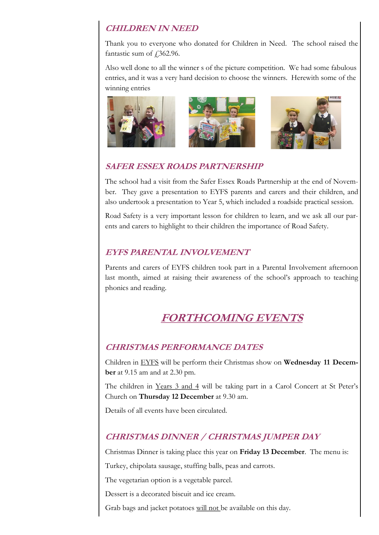### **CHILDREN IN NEED**

Thank you to everyone who donated for Children in Need. The school raised the fantastic sum of  $\text{\textsterling}362.96$ .

Also well done to all the winner s of the picture competition. We had some fabulous entries, and it was a very hard decision to choose the winners. Herewith some of the winning entries





## **SAFER ESSEX ROADS PARTNERSHIP**

The school had a visit from the Safer Essex Roads Partnership at the end of November. They gave a presentation to EYFS parents and carers and their children, and also undertook a presentation to Year 5, which included a roadside practical session.

Road Safety is a very important lesson for children to learn, and we ask all our parents and carers to highlight to their children the importance of Road Safety.

## **EYFS PARENTAL INVOLVEMENT**

Parents and carers of EYFS children took part in a Parental Involvement afternoon last month, aimed at raising their awareness of the school's approach to teaching phonics and reading.

# **FORTHCOMING EVENTS**

## **CHRISTMAS PERFORMANCE DATES**

Children in EYFS will be perform their Christmas show on **Wednesday 11 December** at 9.15 am and at 2.30 pm.

The children in Years 3 and 4 will be taking part in a Carol Concert at St Peter's Church on **Thursday 12 December** at 9.30 am.

Details of all events have been circulated.

## **CHRISTMAS DINNER / CHRISTMAS JUMPER DAY**

Christmas Dinner is taking place this year on **Friday 13 December**. The menu is:

Turkey, chipolata sausage, stuffing balls, peas and carrots.

The vegetarian option is a vegetable parcel.

Dessert is a decorated biscuit and ice cream.

Grab bags and jacket potatoes will not be available on this day.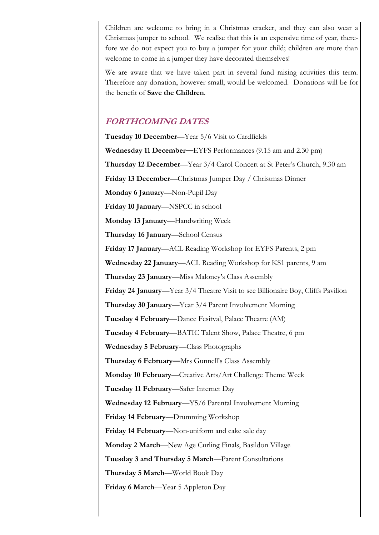Children are welcome to bring in a Christmas cracker, and they can also wear a Christmas jumper to school. We realise that this is an expensive time of year, therefore we do not expect you to buy a jumper for your child; children are more than welcome to come in a jumper they have decorated themselves!

We are aware that we have taken part in several fund raising activities this term. Therefore any donation, however small, would be welcomed. Donations will be for the benefit of **Save the Children**.

### **FORTHCOMING DATES**

**Tuesday 10 December**—Year 5/6 Visit to Cardfields **Wednesday 11 December—**EYFS Performances (9.15 am and 2.30 pm) **Thursday 12 December**—Year 3/4 Carol Concert at St Peter's Church, 9.30 am **Friday 13 December**—Christmas Jumper Day / Christmas Dinner **Monday 6 January**—Non-Pupil Day **Friday 10 January**—NSPCC in school **Monday 13 January**—Handwriting Week **Thursday 16 January**—School Census **Friday 17 January**—ACL Reading Workshop for EYFS Parents, 2 pm **Wednesday 22 January**—ACL Reading Workshop for KS1 parents, 9 am **Thursday 23 January**—Miss Maloney's Class Assembly **Friday 24 January**—Year 3/4 Theatre Visit to see Billionaire Boy, Cliffs Pavilion **Thursday 30 January**—Year 3/4 Parent Involvement Morning **Tuesday 4 February**—Dance Fesitval, Palace Theatre (AM) **Tuesday 4 February**—BATIC Talent Show, Palace Theatre, 6 pm **Wednesday 5 February**—Class Photographs **Thursday 6 February—**Mrs Gunnell's Class Assembly **Monday 10 February**—Creative Arts/Art Challenge Theme Week **Tuesday 11 February**—Safer Internet Day **Wednesday 12 February**—Y5/6 Parental Involvement Morning **Friday 14 February**—Drumming Workshop **Friday 14 February**—Non-uniform and cake sale day **Monday 2 March**—New Age Curling Finals, Basildon Village **Tuesday 3 and Thursday 5 March**—Parent Consultations **Thursday 5 March**—World Book Day **Friday 6 March**—Year 5 Appleton Day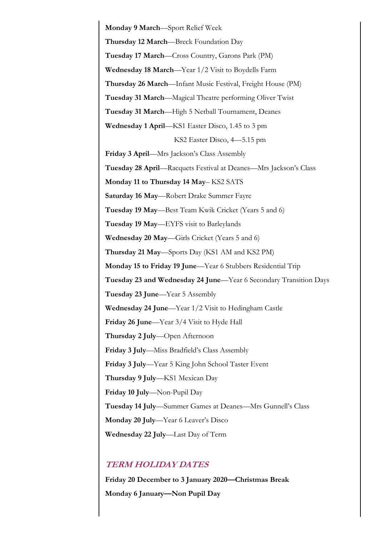**Monday 9 March**—Sport Relief Week **Thursday 12 March**—Breck Foundation Day **Tuesday 17 March**—Cross Country, Garons Park (PM) **Wednesday 18 March**—Year 1/2 Visit to Boydells Farm **Thursday 26 March**—Infant Music Festival, Freight House (PM) **Tuesday 31 March**—Magical Theatre performing Oliver Twist **Tuesday 31 March**—High 5 Netball Tournament, Deanes **Wednesday 1 April**—KS1 Easter Disco, 1.45 to 3 pm KS2 Easter Disco, 4—5.15 pm **Friday 3 April**—Mrs Jackson's Class Assembly **Tuesday 28 April**—Racquets Festival at Deanes—Mrs Jackson's Class **Monday 11 to Thursday 14 May**– KS2 SATS **Saturday 16 May**—Robert Drake Summer Fayre **Tuesday 19 May**—Best Team Kwik Cricket (Years 5 and 6) **Tuesday 19 May**—EYFS visit to Barleylands **Wednesday 20 May**—Girls Cricket (Years 5 and 6) **Thursday 21 May**—Sports Day (KS1 AM and KS2 PM) **Monday 15 to Friday 19 June**—Year 6 Stubbers Residential Trip **Tuesday 23 and Wednesday 24 June**—Year 6 Secondary Transition Days **Tuesday 23 June**—Year 5 Assembly **Wednesday 24 June**—Year 1/2 Visit to Hedingham Castle **Friday 26 June**—Year 3/4 Visit to Hyde Hall **Thursday 2 July**—Open Afternoon **Friday 3 July**—Miss Bradfield's Class Assembly **Friday 3 July**—Year 5 King John School Taster Event **Thursday 9 July**—KS1 Mexican Day **Friday 10 July**—Non-Pupil Day **Tuesday 14 July**—Summer Games at Deanes—Mrs Gunnell's Class **Monday 20 July**—Year 6 Leaver's Disco **Wednesday 22 July**—Last Day of Term

#### **TERM HOLIDAY DATES**

**Friday 20 December to 3 January 2020—Christmas Break Monday 6 January—Non Pupil Day**